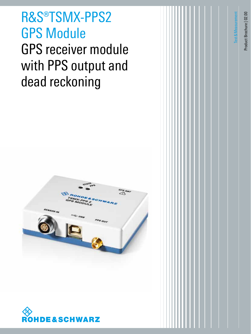**R&S®TSMX-PPS2<br>GPS Module<br>CPS recouver module** GPS Module GPS receiver module with PPS output and dead reckoning





Product Brochure | 02.00

Test&Measurement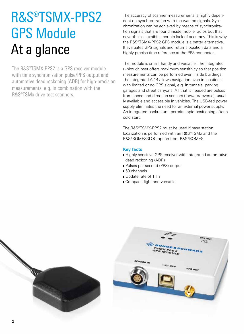# R&S®TSMX-PPS2 GPS Module At a glance

The R&S®TSMX-PPS2 is a GPS receiver module with time synchronization pulse/PPS output and automotive dead reckoning (ADR) for high-precision measurements, e.g. in combination with the R&S®TSMx drive test scanners.

The accuracy of scanner measurements is highly dependent on synchronization with the wanted signals. Synchronization can be achieved by means of synchronization signals that are found inside mobile radios but that nevertheless exhibit a certain lack of accuracy. This is why the R&S®TSMX-PPS2 GPS module is a better alternative. It evaluates GPS signals and returns position data and a highly precise time reference at the PPS connector.

The module is small, handy and versatile. The integrated u-blox chipset offers maximum sensitivity so that position measurements can be performed even inside buildings. The integrated ADR allows navigation even in locations with limited or no GPS signal, e.g. in tunnels, parking garages and street canyons. All that is needed are pulses from speed and direction sensors (forward/reverse), usually available and accessible in vehicles. The USB-fed power supply eliminates the need for an external power supply. An integrated backup unit permits rapid positioning after a cold start.

The R&S®TSMX-PPS2 must be used if base station localization is performed with an R&S®TSMx and the R&S®ROMES3LOC option from R&S®ROMES.

# **Key facts**

- **I** Highly sensitive GPS receiver with integrated automotive dead reckoning (ADR)
- ❙ Pulses per second (PPS) output
- ❙ 50 channels
- ❙ Update rate of 1 Hz
- Compact, light and versatile

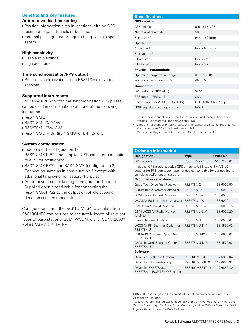## **Benefits and key features**

## **Automotive dead reckoning**

- Position information even in locations with no GPS reception (e.g. in tunnels or buildings)
- External pulse generator required (e.g. vehicle speed sensor)

## **High sensitivity**

- ❙ Usable in buildings
- **I** High accuracy

## **Time synchronisation/PPS output**

■ Precise synchronization of an R&S®TSMx drive test scanner

## **Supported instruments**

R&S®TSMX-PPS2 with time synchronisation/PPS pulses can be used in combination with one of the following instruments:

- ❙ R&S®TSMQ
- ❙ R&S®TSML-C/-G/-W
- ❙ R&S®TSML-CW/-GW
- **I R&S®TSMU with R&S®TSMU-K11/-K12/-K13**

## **System configuration**

- **I** Independent (configuration 1): R&S®TSMX-PPS2 and supplied USB cable for connecting to a PC for positioning
- ❙ R&S®TSMX-PPS2 and R&S®TSMX (configuration 2): Connection same as in configuration 1 except with additional time synchronisation/PPS pulse
- **I** Automotive dead reckoning (configuration 1 and 2): Supplied open-ended cable for connecting the R&S®TSMX-PPS2 to the output of vehicle speed or direction sensors (optional)

Configuration 2 and the R&S®ROMES4LOC option from R&S®ROMES can be used to accurately locate all relevant types of base stations (GSM, WCDMA, LTE, CDMA2000®, EVDO, WiMAX™, TETRA).

| <b>Specifications</b>            |                                   |  |  |
|----------------------------------|-----------------------------------|--|--|
| <b>GPS</b> receiver              |                                   |  |  |
| <b>GPS</b> chipset               | u-blox I FA-6R                    |  |  |
| Number of channels               | 50                                |  |  |
| Sensitivity <sup>1)</sup>        | typ. -160 dBm                     |  |  |
| Update rate                      | 1 Hz                              |  |  |
| Accuracy <sup>2)</sup>           | typ. 2.5 m CEP                    |  |  |
| Startup time <sup>3)</sup>       |                                   |  |  |
| Cold start                       | typ. $<$ 32 s                     |  |  |
| Hot start                        | typ. $<$ 3 s                      |  |  |
| <b>Physical characteristics</b>  |                                   |  |  |
| Operating temperature range      | $0^{\circ}$ C to +50 $^{\circ}$ C |  |  |
| Power consumption at 5 V         | 450 mW                            |  |  |
| <b>Connectors</b>                |                                   |  |  |
| GPS antenna (GPS ANT)            | <b>SMA</b>                        |  |  |
| PPS output (PPS OUT)             | <b>SMA</b>                        |  |  |
| Sensor input for ADR (SENSOR IN) | ODU MINI-SNAP (6-pin)             |  |  |
| USB (signal and voltage supply)  | type B                            |  |  |

<sup>1)</sup> Sensitivity with supplied antenna, for "acquisition and reacquisition" and tracking. Cold start requires higher signal level.

- <sup>2)</sup> Circular error probability (CEP): radius of a horizontal circle at the true antenna site that includes 50% of all position calculations.
- 3) Measured with good satellite view and –130 dBm signal level.

| <b>Ordering information</b>                                                                                                                                             |                     |              |  |
|-------------------------------------------------------------------------------------------------------------------------------------------------------------------------|---------------------|--------------|--|
| <b>Designation</b>                                                                                                                                                      | <b>Type</b>         | Order No.    |  |
| <b>GPS Module</b>                                                                                                                                                       | R&S®TSMX-PPS2       | 1515.7120.02 |  |
| Includes: GPS module, active GPS antenna, USB cable, SMA/BNC<br>adapter for PPS connector, open-ended sensor cable for connecting to<br>vehicle speed/direction sensors |                     |              |  |
| Radio network analyzer                                                                                                                                                  |                     |              |  |
| Quad Tech Drive Test Receiver                                                                                                                                           | <b>R&amp;S®TSMO</b> | 1153.6000.50 |  |
| <b>CDMA Radio Network Analyzer</b>                                                                                                                                      | R&S®TSMI-C          | 1153.6000.12 |  |
| <b>GSM Radio Network Analyzer</b>                                                                                                                                       | R&S®TSMI-G          | 1153.6000.13 |  |
| <b>WCDMA Radio Network Analyzer</b>                                                                                                                                     | R&S®TSML-W          | 1153.6000.11 |  |
| CW Radio Network Analyzer                                                                                                                                               | R&S®TSMI-CW         | 1153.6000.15 |  |
| <b>GSM WCDMA Radio Network</b><br>Analyzer                                                                                                                              | R&S®TSMI-GW         | 1153.6000.20 |  |
| Radio Network Analyzer                                                                                                                                                  | <b>R&amp;S®TSMU</b> | 1153.6000.02 |  |
| WCDMA PN Scanner Option for<br><b>R&amp;S®TSMU</b>                                                                                                                      | R&S®TSMU-K11        | 1153.4550.02 |  |
| CDMA PN Scanner Option for<br><b>R&amp;S®TSMU</b>                                                                                                                       | R&S®TSMU-K12        | 1153.4608.02 |  |
| GSM Network Scanner Option for<br><b>R&amp;S®TSMU</b>                                                                                                                   | R&S®TSMU-K13        | 1153.4572.02 |  |
| <b>Software</b>                                                                                                                                                         |                     |              |  |
| Drive Test Software Platform                                                                                                                                            | R&S®ROMFS4          | 1117.6885.04 |  |
| Driver for BTS Positioning                                                                                                                                              | R&S®ROMES4LOC       | 1117.6885.32 |  |
| Driver for R&S®TSMU.<br>R&S®TSML, R&S®TSMQ Scanner                                                                                                                      | R&S®ROMES4T1Q       | 1117.6885.40 |  |

CDMA2000® is a registered trademark of the Telecommunications Industry Association (TIA-USA).

"WiMAX Forum" is a registered trademark of the WiMAX Forum. "WiMAX", the WiMAX Forum logo, "WiMAX Forum Certified", and the WiMAX Forum Certified logo are trademarks of the WiMAX Forum.